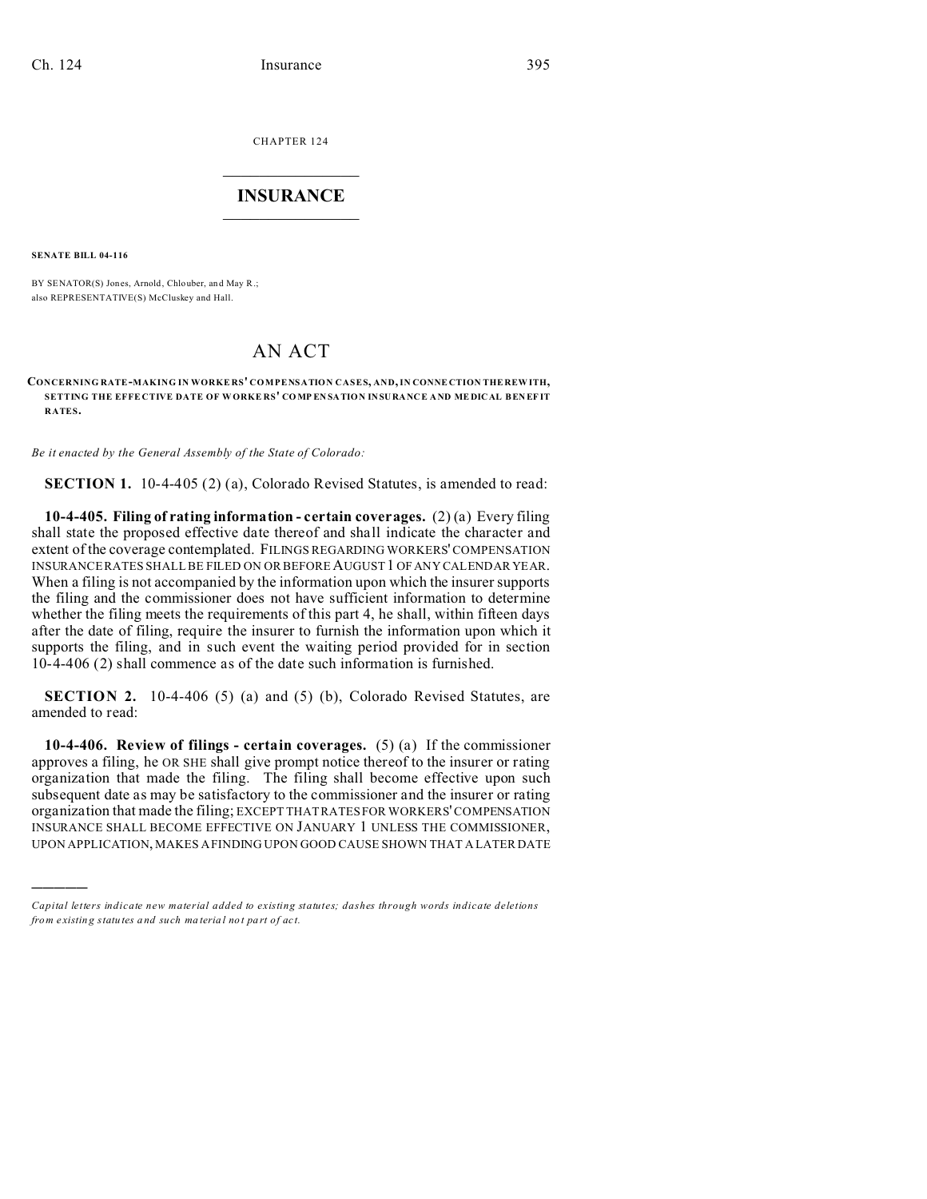CHAPTER 124  $\overline{\phantom{a}}$  , where  $\overline{\phantom{a}}$ 

## **INSURANCE**  $\_$   $\_$   $\_$   $\_$   $\_$   $\_$   $\_$   $\_$

**SENATE BILL 04-116**

)))))

BY SENATOR(S) Jones, Arnold, Chlouber, and May R.; also REPRESENTATIVE(S) McCluskey and Hall.

## AN ACT

**CONCERNING RATE-MAKING IN WORKE RS' COMPENSATION CASES, AND, IN CONNE CTION THE REW ITH, SETTING THE EFFE CTIVE DATE OF WORKE RS' CO MP EN SATION INSURANCE A ND ME DICAL BEN EF IT RATES.**

*Be it enacted by the General Assembly of the State of Colorado:*

**SECTION 1.** 10-4-405 (2) (a), Colorado Revised Statutes, is amended to read:

**10-4-405. Filing of rating information - certain coverages.** (2) (a) Every filing shall state the proposed effective date thereof and shall indicate the character and extent of the coverage contemplated. FILINGS REGARDING WORKERS' COMPENSATION INSURANCE RATES SHALL BE FILED ON OR BEFORE AUGUST 1 OF ANY CALENDAR YEAR. When a filing is not accompanied by the information upon which the insurer supports the filing and the commissioner does not have sufficient information to determine whether the filing meets the requirements of this part 4, he shall, within fifteen days after the date of filing, require the insurer to furnish the information upon which it supports the filing, and in such event the waiting period provided for in section 10-4-406 (2) shall commence as of the date such information is furnished.

**SECTION 2.** 10-4-406 (5) (a) and (5) (b), Colorado Revised Statutes, are amended to read:

**10-4-406. Review of filings - certain coverages.** (5) (a) If the commissioner approves a filing, he OR SHE shall give prompt notice thereof to the insurer or rating organization that made the filing. The filing shall become effective upon such subsequent date as may be satisfactory to the commissioner and the insurer or rating organization that made the filing; EXCEPT THAT RATES FOR WORKERS' COMPENSATION INSURANCE SHALL BECOME EFFECTIVE ON JANUARY 1 UNLESS THE COMMISSIONER, UPON APPLICATION, MAKES A FINDING UPON GOOD CAUSE SHOWN THAT A LATER DATE

*Capital letters indicate new material added to existing statutes; dashes through words indicate deletions from e xistin g statu tes a nd such ma teria l no t pa rt of ac t.*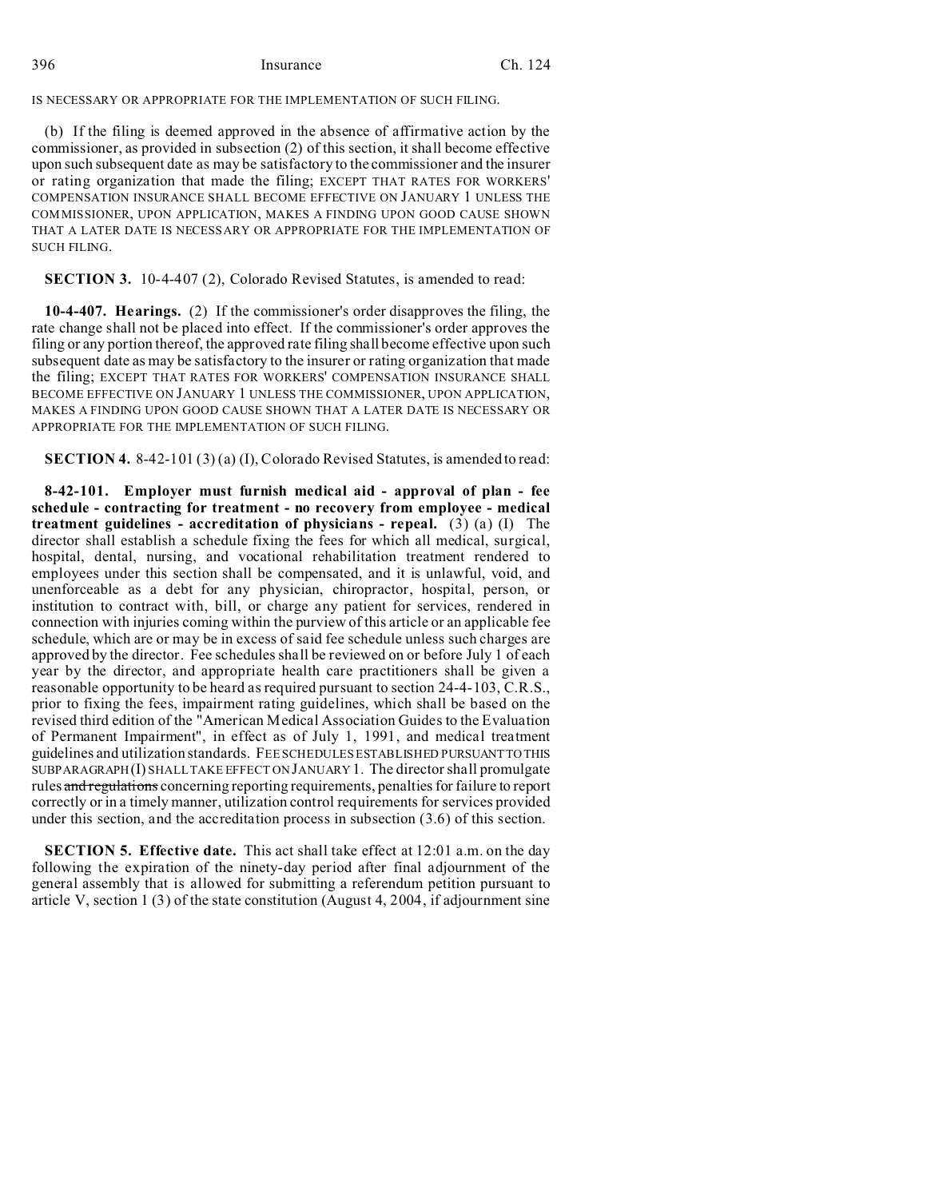396 Insurance Ch. 124

IS NECESSARY OR APPROPRIATE FOR THE IMPLEMENTATION OF SUCH FILING.

(b) If the filing is deemed approved in the absence of affirmative action by the commissioner, as provided in subsection (2) of this section, it shall become effective upon such subsequent date as may be satisfactory to the commissioner and the insurer or rating organization that made the filing; EXCEPT THAT RATES FOR WORKERS' COMPENSATION INSURANCE SHALL BECOME EFFECTIVE ON JANUARY 1 UNLESS THE COMMISSIONER, UPON APPLICATION, MAKES A FINDING UPON GOOD CAUSE SHOWN THAT A LATER DATE IS NECESSARY OR APPROPRIATE FOR THE IMPLEMENTATION OF SUCH FILING.

**SECTION 3.** 10-4-407 (2), Colorado Revised Statutes, is amended to read:

**10-4-407. Hearings.** (2) If the commissioner's order disapproves the filing, the rate change shall not be placed into effect. If the commissioner's order approves the filing or any portion thereof, the approved rate filing shall become effective upon such subsequent date as may be satisfactory to the insurer or rating organization that made the filing; EXCEPT THAT RATES FOR WORKERS' COMPENSATION INSURANCE SHALL BECOME EFFECTIVE ON JANUARY 1 UNLESS THE COMMISSIONER, UPON APPLICATION, MAKES A FINDING UPON GOOD CAUSE SHOWN THAT A LATER DATE IS NECESSARY OR APPROPRIATE FOR THE IMPLEMENTATION OF SUCH FILING.

**SECTION 4.** 8-42-101 (3) (a) (I), Colorado Revised Statutes, is amended to read:

**8-42-101. Employer must furnish medical aid - approval of plan - fee schedule - contracting for treatment - no recovery from employee - medical treatment guidelines - accreditation of physicians - repeal.** (3) (a) (I) The director shall establish a schedule fixing the fees for which all medical, surgical, hospital, dental, nursing, and vocational rehabilitation treatment rendered to employees under this section shall be compensated, and it is unlawful, void, and unenforceable as a debt for any physician, chiropractor, hospital, person, or institution to contract with, bill, or charge any patient for services, rendered in connection with injuries coming within the purview of this article or an applicable fee schedule, which are or may be in excess of said fee schedule unless such charges are approved by the director. Fee schedules shall be reviewed on or before July 1 of each year by the director, and appropriate health care practitioners shall be given a reasonable opportunity to be heard as required pursuant to section 24-4-103, C.R.S., prior to fixing the fees, impairment rating guidelines, which shall be based on the revised third edition of the "American Medical Association Guides to the Evaluation of Permanent Impairment", in effect as of July 1, 1991, and medical treatment guidelines and utilization standards. FEE SCHEDULES ESTABLISHED PURSUANTTO THIS SUBPARAGRAPH(I) SHALL TAKE EFFECT ON JANUARY 1. The director shall promulgate rules and regulations concerning reporting requirements, penalties for failure to report correctly or in a timely manner, utilization control requirements for services provided under this section, and the accreditation process in subsection (3.6) of this section.

**SECTION 5. Effective date.** This act shall take effect at 12:01 a.m. on the day following the expiration of the ninety-day period after final adjournment of the general assembly that is allowed for submitting a referendum petition pursuant to article V, section 1 (3) of the state constitution (August 4, 2004, if adjournment sine